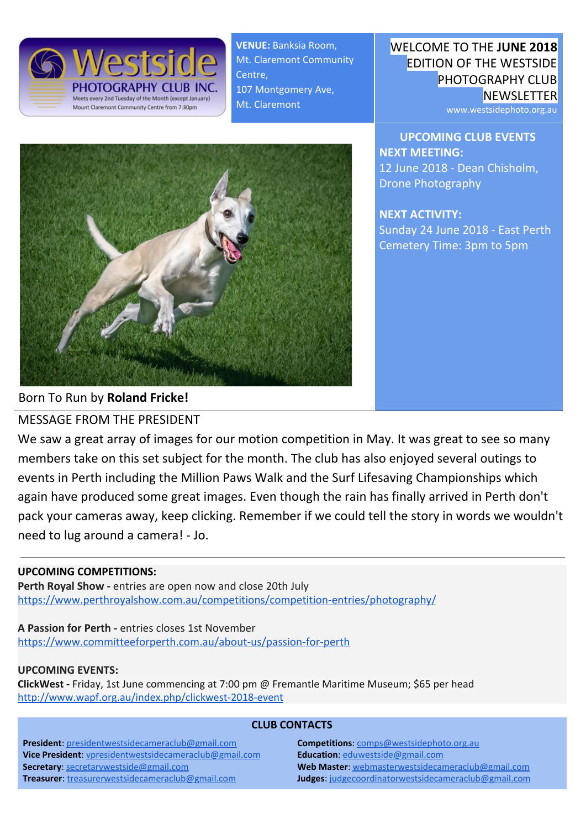

**VENUE:** Banksia Room, Mt. Claremont Community Centre, 107 Montgomery Ave, Mt. Claremont



WELCOME TO THE **JUNE 2018** EDITION OF THE WESTSIDE PHOTOGRAPHY CLUB **NEWSLETTER** 

www.westsidephoto.org.au

**UPCOMING CLUB EVENTS NEXT MEETING:** 12 June 2018 - Dean Chisholm, Drone Photography

**NEXT ACTIVITY:** Sunday 24 June 2018 - East Perth Cemetery Time: 3pm to 5pm

Born To Run by **Roland Fricke!**

MESSAGE FROM THE PRESIDENT

We saw a great array of images for our motion competition in May. It was great to see so many members take on this set subject for the month. The club has also enjoyed several outings to events in Perth including the Million Paws Walk and the Surf Lifesaving Championships which again have produced some great images. Even though the rain has finally arrived in Perth don't pack your cameras away, keep clicking. Remember if we could tell the story in words we wouldn't need to lug around a camera! - Jo.

#### **UPCOMING COMPETITIONS:**

Perth Royal Show - entries are open now and close 20th July <https://www.perthroyalshow.com.au/competitions/competition-entries/photography/>

**A Passion for Perth -** entries closes 1st November <https://www.committeeforperth.com.au/about-us/passion-for-perth>

#### **UPCOMING EVENTS:**

**ClickWest -** Friday, 1st June commencing at 7:00 pm @ Fremantle Maritime Museum; \$65 per head <http://www.wapf.org.au/index.php/clickwest-2018-event>

#### **CLUB CONTACTS**

**President**: [presidentwestsidecameraclub@gmail.com](mailto:presidentwestsidecameraclub@gmail.com) **Vice President**: [vpresidentwestsidecameraclub@gmail.com](mailto:vpresidentwestsidecameraclub@gmail.com) **Secretary**: [secretarywestside@gmail.com](mailto:secretarywestside@gmail.com) **Treasurer**: [treasurerwestsidecameraclub@gmail.com](mailto:treasurerwestsidecameraclub@gmail.com)

**Competitions**: [comps@westsidephoto.org.au](mailto:comps@westsidephoto.org.au) **Education**: [eduwestside@gmail.com](mailto:eduwestside@gmail.com) **Web Master**: [webmasterwestsidecameraclub@gmail.com](mailto:webmasterwestsidecameraclub@gmail.com) **Judges**: [judgecoordinatorwestsidecameraclub@gmail.com](mailto:judgecoordinatorwestsidecameraclub@gmail.com)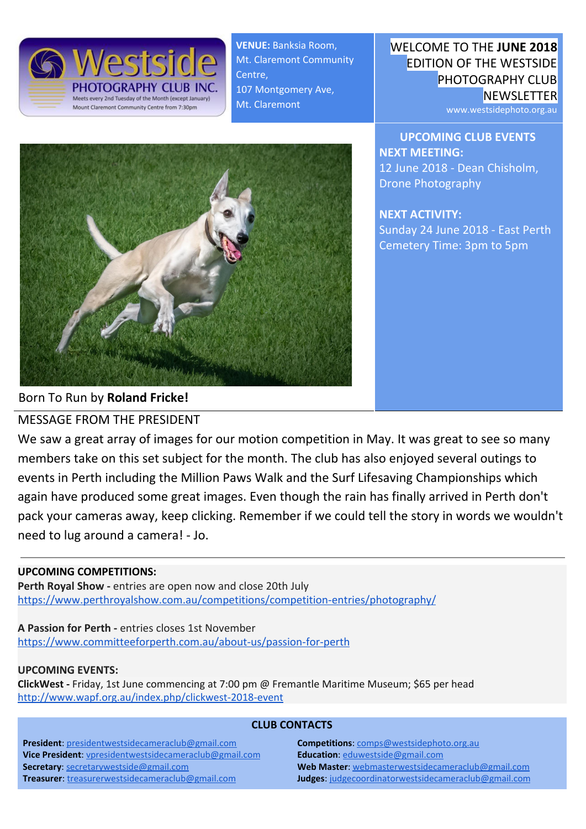# Member Profile: **Celine Gaudin**



### **Q1: "When did you start getting into photography?"**

I started enjoying taking photos when we first arrived in Australia in 2003, being stunned by the beauty of the country, the intensity of the colors and the light. At first it was to document our family blog aimed to share with our relatives and friends back in France. Photography then helped me during illness a few years ago as a way to distract myself and as a tool to come out of isolation during that period. I can say that photography has been part of my recovery process.

#### **Q2: "What is your favourite image to date and why?" (pictured at the top of this page)**

This question got me thinking about the process to select one specific photo: is it the technicality of the shot, the difficulty of getting the shot, the message we want to convey with the shot or simply the moment associated to the shot? So I have picked one of the many photos I have from the Sydney Opera House, which I found fascinating. In this photo, I like the intensity of the sky, the ray of light and the detail of the tiles covering the roof of the building. The filter and grain in post-production gives the photo a moody feeling.

#### **Q3: "What is in your bag?"**

I used to have a DSLR Nikon D90 for the last 10 years and a mirrorless Sony alpha 6000 with a couple of lenses more recently, with the view to learn the technical side of photography. However, because I lack time to develop these technical skills, I decided to focus on what I want to capture and rely on a versatile camera, which will allow me to work my way through learning settings with time. I now see myself as a very enthusiastic photographer and I recently acquired a Sony RX10 III, which is now my go to camera… I also have a DJI drone that I fly with my husband until I feel confident to control it on my own and I use my phone as a camera on a daily basis!

## **Q4: "What image, city or location would you most like to shoot?"**

If I had to choose locations, it would be to travel around the world to shoot lighthouses, which I like for their design and function. But because my style of photography is more "in the moment" for details of life events, I simply want to multiply life experiences, wherever it happens!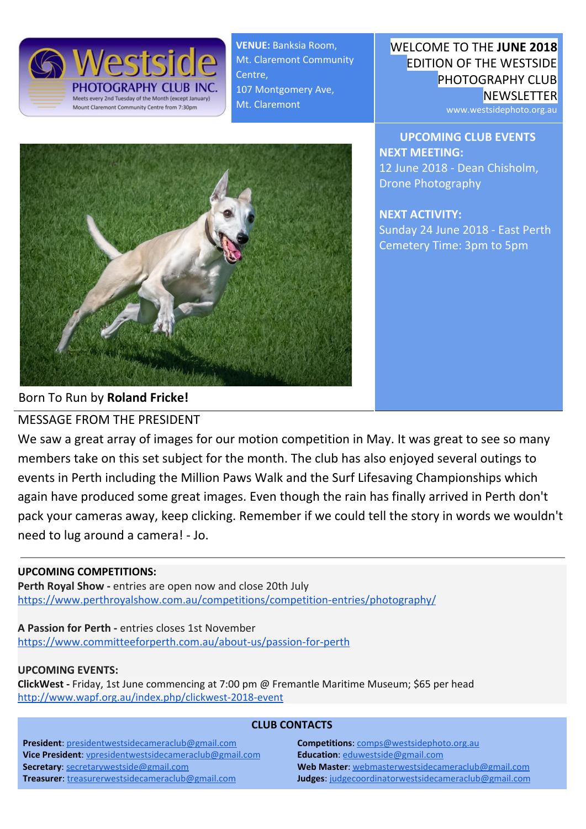### SUMMARY FROM RECENT EVENTS:

## **Sunday 11th March 2018 - Visit to Hillarys Harbour**

A few members braved the heat to visit to Hillary's Harbour to capture the lively surroundings: lots of families having fun in the water for one of the last summer day, wandering around the shops or enjoying an ice cream and a cool drink while watching life going by. It was a great opportunity to observe, try to snap some close up and capture a day in beautiful Hillary's Harbour. - **Celine**

# **Tuesday 10th April 2018 - Amanda Blanksby, Underwater Photography**

An informative and excellent evening listening to Amanda talk to us about all the various aspects of Underwater Photography. Who knew it was so technical and so challenging and so many different variables to content with! It makes me appreciate the fantastic underwater shots we see, especially those from our club members. Thank you. - **Greg**

# **Sunday 15th April 2018 - Australian Surf Lifesaving Championship**

The club headed to Scarborough for April's outing, to attend the Surf Life Saving Club Championship national event. The small group was able to capture the competitors practicing and in action getting into the water. It was an action packed event and lots of fun to watch. - **Celine**



# **Tuesday 8th May 2018 - Competition Night; Motion**

Another night of great images from club members and so very thought provoking and informative judging. The new format for comp nights seems to working with a good pace, good information, and nice finish time. - **Greg**